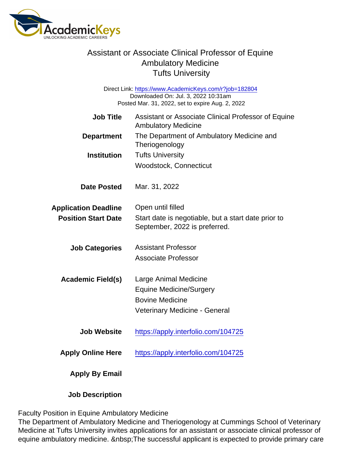Direct Link: <https://www.AcademicKeys.com/r?job=182804> Downloaded On: Jul. 3, 2022 10:31am Posted Mar. 31, 2022, set to expire Aug. 2, 2022

| <b>Job Title</b>            | Assistant or Associate Clinical Professor of Equine<br><b>Ambulatory Medicine</b>    |
|-----------------------------|--------------------------------------------------------------------------------------|
| Department                  | The Department of Ambulatory Medicine and<br>Theriogenology                          |
| Institution                 | <b>Tufts University</b>                                                              |
|                             | <b>Woodstock, Connecticut</b>                                                        |
| Date Posted                 | Mar. 31, 2022                                                                        |
| <b>Application Deadline</b> | Open until filled                                                                    |
| <b>Position Start Date</b>  | Start date is negotiable, but a start date prior to<br>September, 2022 is preferred. |
| <b>Job Categories</b>       | <b>Assistant Professor</b>                                                           |
|                             | <b>Associate Professor</b>                                                           |
| Academic Field(s)           | Large Animal Medicine                                                                |
|                             | <b>Equine Medicine/Surgery</b>                                                       |
|                             | <b>Bovine Medicine</b>                                                               |
|                             | Veterinary Medicine - General                                                        |
| Job Website                 | https://apply.interfolio.com/104725                                                  |
| Apply Online Here           | https://apply.interfolio.com/104725                                                  |
| Apply By Email              |                                                                                      |
|                             |                                                                                      |

Job Description

Faculty Position in Equine Ambulatory Medicine

The Department of Ambulatory Medicine and Theriogenology at Cummings School of Veterinary Medicine at Tufts University invites applications for an assistant or associate clinical professor of equine ambulatory medicine. The successful applicant is expected to provide primary care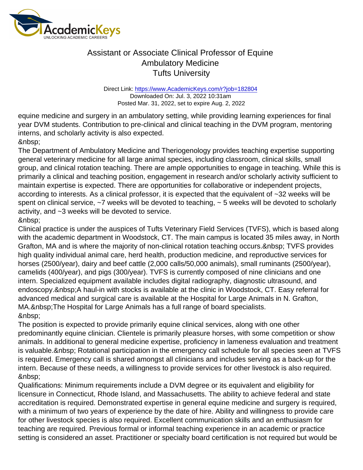Direct Link: <https://www.AcademicKeys.com/r?job=182804> Downloaded On: Jul. 3, 2022 10:31am Posted Mar. 31, 2022, set to expire Aug. 2, 2022

equine medicine and surgery in an ambulatory setting, while providing learning experiences for final year DVM students. Contribution to pre-clinical and clinical teaching in the DVM program, mentoring interns, and scholarly activity is also expected.

The Department of Ambulatory Medicine and Theriogenology provides teaching expertise supporting general veterinary medicine for all large animal species, including classroom, clinical skills, small group, and clinical rotation teaching. There are ample opportunities to engage in teaching. While this is primarily a clinical and teaching position, engagement in research and/or scholarly activity sufficient to maintain expertise is expected. There are opportunities for collaborative or independent projects, according to interests. As a clinical professor, it is expected that the equivalent of ~32 weeks will be spent on clinical service,  $\sim$ 7 weeks will be devoted to teaching,  $\sim$  5 weeks will be devoted to scholarly activity, and ~3 weeks will be devoted to service. &nbsp:

Clinical practice is under the auspices of Tufts Veterinary Field Services (TVFS), which is based along with the academic department in Woodstock, CT. The main campus is located 35 miles away, in North Grafton, MA and is where the majority of non-clinical rotation teaching occurs. & nbsp; TVFS provides high quality individual animal care, herd health, production medicine, and reproductive services for horses (2500/year), dairy and beef cattle (2,000 calls/50,000 animals), small ruminants (2500/year), camelids (400/year), and pigs (300/year). TVFS is currently composed of nine clinicians and one intern. Specialized equipment available includes digital radiography, diagnostic ultrasound, and endoscopy. & nbsp; A haul-in with stocks is available at the clinic in Woodstock, CT. Easy referral for advanced medical and surgical care is available at the Hospital for Large Animals in N. Grafton, MA. & nbsp: The Hospital for Large Animals has a full range of board specialists. 

The position is expected to provide primarily equine clinical services, along with one other predominantly equine clinician. Clientele is primarily pleasure horses, with some competition or show animals. In additional to general medicine expertise, proficiency in lameness evaluation and treatment is valuable. & nbsp; Rotational participation in the emergency call schedule for all species seen at TVFS is required. Emergency call is shared amongst all clinicians and includes serving as a back-up for the intern. Because of these needs, a willingness to provide services for other livestock is also required. 

Qualifications: Minimum requirements include a DVM degree or its equivalent and eligibility for licensure in Connecticut, Rhode Island, and Massachusetts. The ability to achieve federal and state accreditation is required. Demonstrated expertise in general equine medicine and surgery is required, with a minimum of two years of experience by the date of hire. Ability and willingness to provide care for other livestock species is also required. Excellent communication skills and an enthusiasm for teaching are required. Previous formal or informal teaching experience in an academic or practice setting is considered an asset. Practitioner or specialty board certification is not required but would be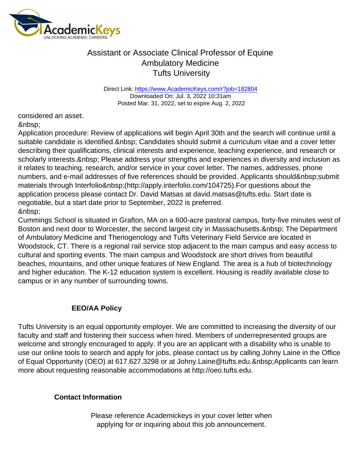Direct Link: <https://www.AcademicKeys.com/r?job=182804> Downloaded On: Jul. 3, 2022 10:31am Posted Mar. 31, 2022, set to expire Aug. 2, 2022

considered an asset. 

Application procedure: Review of applications will begin April 30th and the search will continue until a suitable candidate is identified. Candidates should submit a curriculum vitae and a cover letter describing their qualifications, clinical interests and experience, teaching experience, and research or scholarly interests. Please address your strengths and experiences in diversity and inclusion as it relates to teaching, research, and/or service in your cover letter. The names, addresses, phone numbers, and e-mail addresses of five references should be provided. Applicants should submit materials through Interfolio (http://apply.interfolio.com/104725).For questions about the application process please contact Dr. David Matsas at david.matsas@tufts.edu. Start date is negotiable, but a start date prior to September, 2022 is preferred. 

Cummings School is situated in Grafton, MA on a 600-acre pastoral campus, forty-five minutes west of Boston and next door to Worcester, the second largest city in Massachusetts. & nbsp; The Department of Ambulatory Medicine and Theriogenology and Tufts Veterinary Field Service are located in Woodstock, CT. There is a regional rail service stop adjacent to the main campus and easy access to cultural and sporting events. The main campus and Woodstock are short drives from beautiful beaches, mountains, and other unique features of New England. The area is a hub of biotechnology and higher education. The K-12 education system is excellent. Housing is readily available close to campus or in any number of surrounding towns.

#### EEO/AA Policy

Tufts University is an equal opportunity employer. We are committed to increasing the diversity of our faculty and staff and fostering their success when hired. Members of underrepresented groups are welcome and strongly encouraged to apply. If you are an applicant with a disability who is unable to use our online tools to search and apply for jobs, please contact us by calling Johny Laine in the Office of Equal Opportunity (OEO) at 617.627.3298 or at Johny.Laine@tufts.edu. Applicants can learn more about requesting reasonable accommodations at http://oeo.tufts.edu.

Contact Information

Please reference Academickeys in your cover letter when applying for or inquiring about this job announcement.